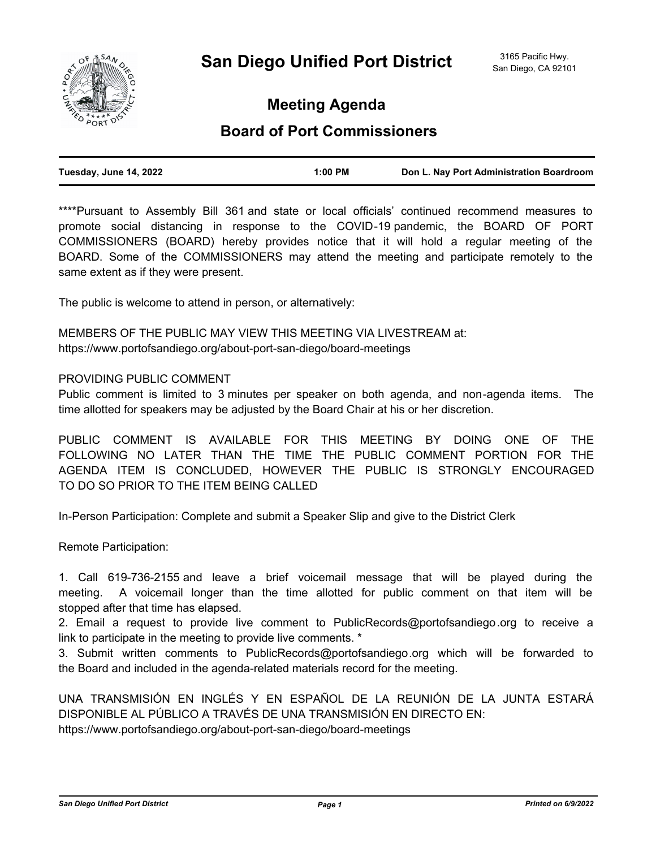

**Meeting Agenda**

# **Board of Port Commissioners**

| Tuesday, June 14, 2022 | 1:00 PM | Don L. Nay Port Administration Boardroom |
|------------------------|---------|------------------------------------------|
|                        |         |                                          |

\*\*\*\*Pursuant to Assembly Bill 361 and state or local officials' continued recommend measures to promote social distancing in response to the COVID-19 pandemic, the BOARD OF PORT COMMISSIONERS (BOARD) hereby provides notice that it will hold a regular meeting of the BOARD. Some of the COMMISSIONERS may attend the meeting and participate remotely to the same extent as if they were present.

The public is welcome to attend in person, or alternatively:

MEMBERS OF THE PUBLIC MAY VIEW THIS MEETING VIA LIVESTREAM at: https://www.portofsandiego.org/about-port-san-diego/board-meetings

# PROVIDING PUBLIC COMMENT

Public comment is limited to 3 minutes per speaker on both agenda, and non-agenda items. The time allotted for speakers may be adjusted by the Board Chair at his or her discretion.

PUBLIC COMMENT IS AVAILABLE FOR THIS MEETING BY DOING ONE OF THE FOLLOWING NO LATER THAN THE TIME THE PUBLIC COMMENT PORTION FOR THE AGENDA ITEM IS CONCLUDED, HOWEVER THE PUBLIC IS STRONGLY ENCOURAGED TO DO SO PRIOR TO THE ITEM BEING CALLED

In-Person Participation: Complete and submit a Speaker Slip and give to the District Clerk

Remote Participation:

1. Call 619-736-2155 and leave a brief voicemail message that will be played during the meeting. A voicemail longer than the time allotted for public comment on that item will be stopped after that time has elapsed.

2. Email a request to provide live comment to PublicRecords@portofsandiego.org to receive a link to participate in the meeting to provide live comments. \*

3. Submit written comments to PublicRecords@portofsandiego.org which will be forwarded to the Board and included in the agenda-related materials record for the meeting.

UNA TRANSMISIÓN EN INGLÉS Y EN ESPAÑOL DE LA REUNIÓN DE LA JUNTA ESTARÁ DISPONIBLE AL PÚBLICO A TRAVÉS DE UNA TRANSMISIÓN EN DIRECTO EN: https://www.portofsandiego.org/about-port-san-diego/board-meetings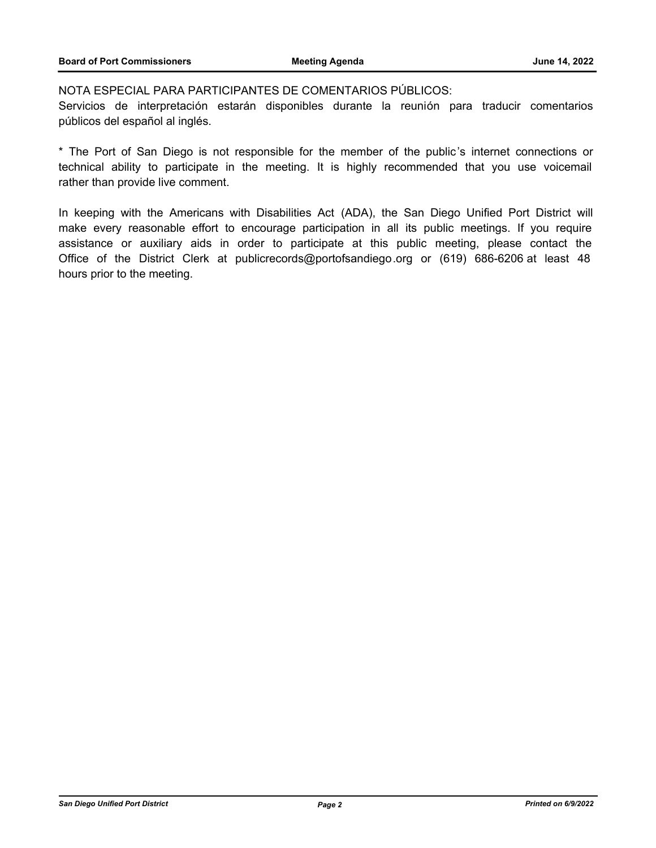# NOTA ESPECIAL PARA PARTICIPANTES DE COMENTARIOS PÚBLICOS:

Servicios de interpretación estarán disponibles durante la reunión para traducir comentarios públicos del español al inglés.

\* The Port of San Diego is not responsible for the member of the public's internet connections or technical ability to participate in the meeting. It is highly recommended that you use voicemail rather than provide live comment.

In keeping with the Americans with Disabilities Act (ADA), the San Diego Unified Port District will make every reasonable effort to encourage participation in all its public meetings. If you require assistance or auxiliary aids in order to participate at this public meeting, please contact the Office of the District Clerk at publicrecords@portofsandiego.org or (619) 686-6206 at least 48 hours prior to the meeting.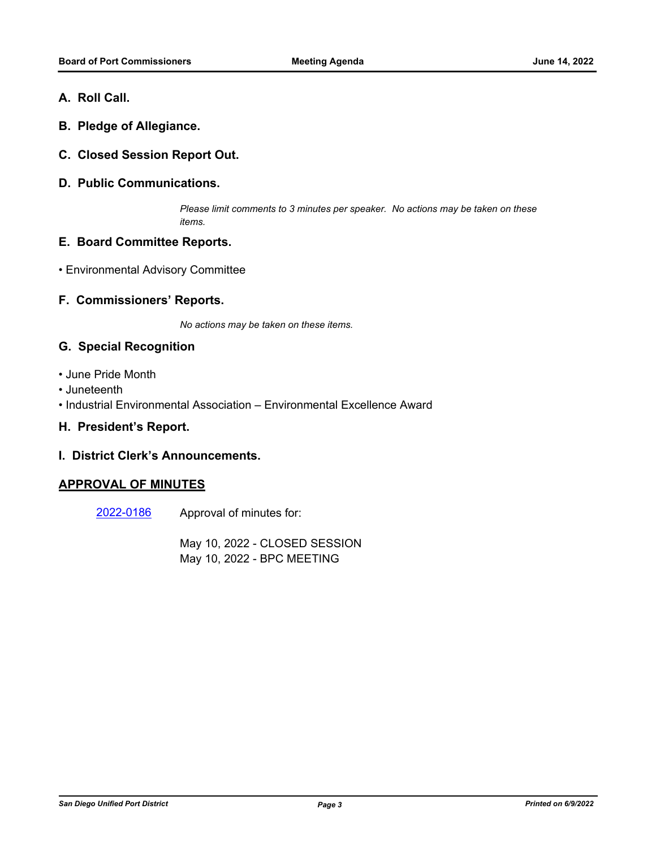- **A. Roll Call.**
- **B. Pledge of Allegiance.**
- **C. Closed Session Report Out.**
- **D. Public Communications.**

*Please limit comments to 3 minutes per speaker. No actions may be taken on these items.*

# **E. Board Committee Reports.**

• Environmental Advisory Committee

# **F. Commissioners' Reports.**

*No actions may be taken on these items.*

# **G. Special Recognition**

- June Pride Month
- Juneteenth
- Industrial Environmental Association Environmental Excellence Award

### **H. President's Report.**

#### **I. District Clerk's Announcements.**

# **APPROVAL OF MINUTES**

Approval of minutes for: [2022-0186](http://portofsandiego.legistar.com/gateway.aspx?m=l&id=/matter.aspx?key=6330)

> May 10, 2022 - CLOSED SESSION May 10, 2022 - BPC MEETING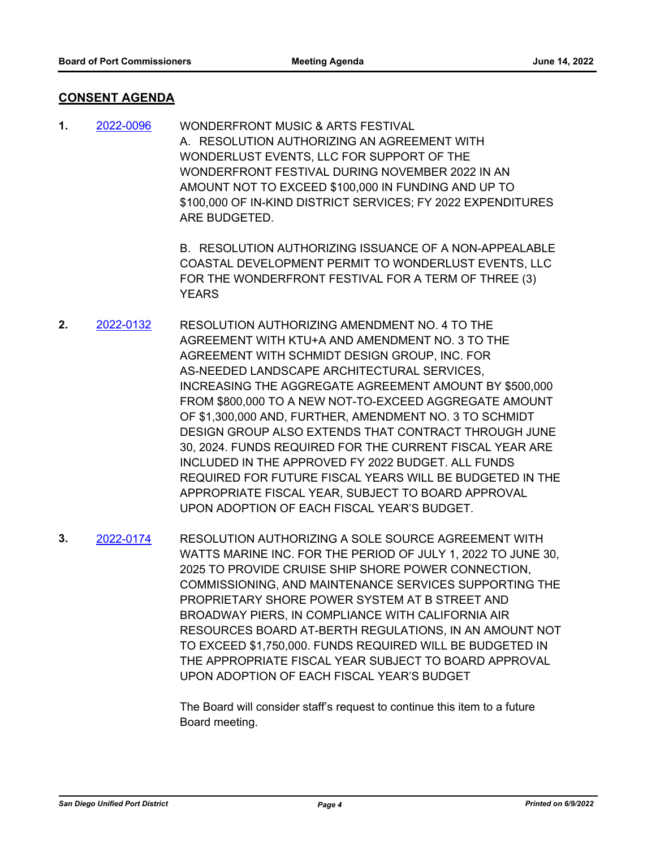# **CONSENT AGENDA**

WONDERFRONT MUSIC & ARTS FESTIVAL A. RESOLUTION AUTHORIZING AN AGREEMENT WITH WONDERLUST EVENTS, LLC FOR SUPPORT OF THE WONDERFRONT FESTIVAL DURING NOVEMBER 2022 IN AN AMOUNT NOT TO EXCEED \$100,000 IN FUNDING AND UP TO \$100,000 OF IN-KIND DISTRICT SERVICES; FY 2022 EXPENDITURES ARE BUDGETED. **1.** [2022-0096](http://portofsandiego.legistar.com/gateway.aspx?m=l&id=/matter.aspx?key=6240)

> B. RESOLUTION AUTHORIZING ISSUANCE OF A NON-APPEALABLE COASTAL DEVELOPMENT PERMIT TO WONDERLUST EVENTS, LLC FOR THE WONDERFRONT FESTIVAL FOR A TERM OF THREE (3) **YEARS**

- RESOLUTION AUTHORIZING AMENDMENT NO. 4 TO THE AGREEMENT WITH KTU+A AND AMENDMENT NO. 3 TO THE AGREEMENT WITH SCHMIDT DESIGN GROUP, INC. FOR AS-NEEDED LANDSCAPE ARCHITECTURAL SERVICES, INCREASING THE AGGREGATE AGREEMENT AMOUNT BY \$500,000 FROM \$800,000 TO A NEW NOT-TO-EXCEED AGGREGATE AMOUNT OF \$1,300,000 AND, FURTHER, AMENDMENT NO. 3 TO SCHMIDT DESIGN GROUP ALSO EXTENDS THAT CONTRACT THROUGH JUNE 30, 2024. FUNDS REQUIRED FOR THE CURRENT FISCAL YEAR ARE INCLUDED IN THE APPROVED FY 2022 BUDGET. ALL FUNDS REQUIRED FOR FUTURE FISCAL YEARS WILL BE BUDGETED IN THE APPROPRIATE FISCAL YEAR, SUBJECT TO BOARD APPROVAL UPON ADOPTION OF EACH FISCAL YEAR'S BUDGET. **2.** [2022-0132](http://portofsandiego.legistar.com/gateway.aspx?m=l&id=/matter.aspx?key=6276)
- RESOLUTION AUTHORIZING A SOLE SOURCE AGREEMENT WITH WATTS MARINE INC. FOR THE PERIOD OF JULY 1, 2022 TO JUNE 30, 2025 TO PROVIDE CRUISE SHIP SHORE POWER CONNECTION, COMMISSIONING, AND MAINTENANCE SERVICES SUPPORTING THE PROPRIETARY SHORE POWER SYSTEM AT B STREET AND BROADWAY PIERS, IN COMPLIANCE WITH CALIFORNIA AIR RESOURCES BOARD AT-BERTH REGULATIONS, IN AN AMOUNT NOT TO EXCEED \$1,750,000. FUNDS REQUIRED WILL BE BUDGETED IN THE APPROPRIATE FISCAL YEAR SUBJECT TO BOARD APPROVAL UPON ADOPTION OF EACH FISCAL YEAR'S BUDGET **3.** [2022-0174](http://portofsandiego.legistar.com/gateway.aspx?m=l&id=/matter.aspx?key=6318)

The Board will consider staff's request to continue this item to a future Board meeting.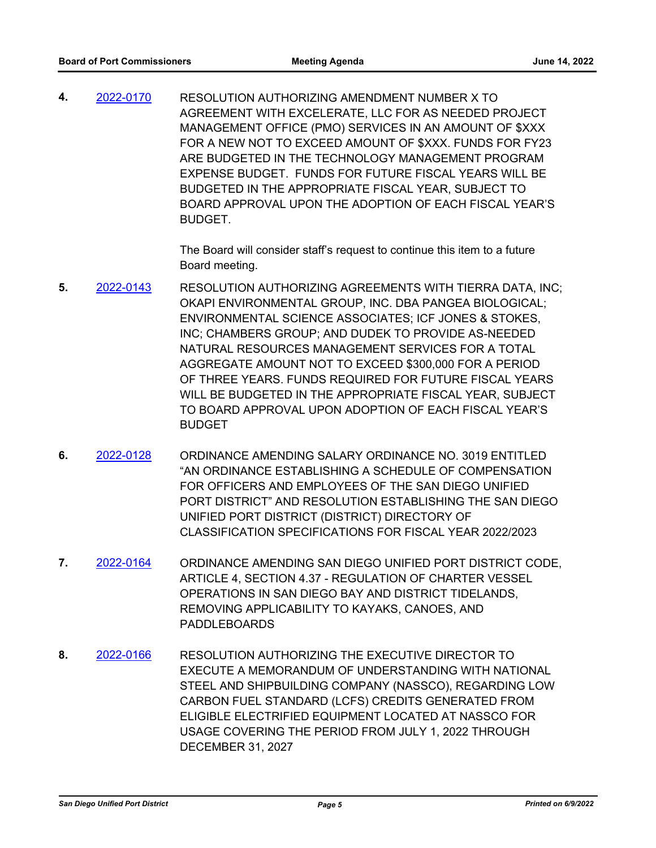RESOLUTION AUTHORIZING AMENDMENT NUMBER X TO AGREEMENT WITH EXCELERATE, LLC FOR AS NEEDED PROJECT MANAGEMENT OFFICE (PMO) SERVICES IN AN AMOUNT OF \$XXX FOR A NEW NOT TO EXCEED AMOUNT OF \$XXX. FUNDS FOR FY23 ARE BUDGETED IN THE TECHNOLOGY MANAGEMENT PROGRAM EXPENSE BUDGET. FUNDS FOR FUTURE FISCAL YEARS WILL BE BUDGETED IN THE APPROPRIATE FISCAL YEAR, SUBJECT TO BOARD APPROVAL UPON THE ADOPTION OF EACH FISCAL YEAR'S BUDGET. **4.** [2022-0170](http://portofsandiego.legistar.com/gateway.aspx?m=l&id=/matter.aspx?key=6314)

> The Board will consider staff's request to continue this item to a future Board meeting.

- RESOLUTION AUTHORIZING AGREEMENTS WITH TIERRA DATA, INC; OKAPI ENVIRONMENTAL GROUP, INC. DBA PANGEA BIOLOGICAL; ENVIRONMENTAL SCIENCE ASSOCIATES; ICF JONES & STOKES, INC; CHAMBERS GROUP; AND DUDEK TO PROVIDE AS-NEEDED NATURAL RESOURCES MANAGEMENT SERVICES FOR A TOTAL AGGREGATE AMOUNT NOT TO EXCEED \$300,000 FOR A PERIOD OF THREE YEARS. FUNDS REQUIRED FOR FUTURE FISCAL YEARS WILL BE BUDGETED IN THE APPROPRIATE FISCAL YEAR, SUBJECT TO BOARD APPROVAL UPON ADOPTION OF EACH FISCAL YEAR'S **BUDGET 5.** [2022-0143](http://portofsandiego.legistar.com/gateway.aspx?m=l&id=/matter.aspx?key=6287)
- ORDINANCE AMENDING SALARY ORDINANCE NO. 3019 ENTITLED "AN ORDINANCE ESTABLISHING A SCHEDULE OF COMPENSATION FOR OFFICERS AND EMPLOYEES OF THE SAN DIEGO UNIFIED PORT DISTRICT" AND RESOLUTION ESTABLISHING THE SAN DIEGO UNIFIED PORT DISTRICT (DISTRICT) DIRECTORY OF CLASSIFICATION SPECIFICATIONS FOR FISCAL YEAR 2022/2023 **6.** [2022-0128](http://portofsandiego.legistar.com/gateway.aspx?m=l&id=/matter.aspx?key=6272)
- ORDINANCE AMENDING SAN DIEGO UNIFIED PORT DISTRICT CODE, ARTICLE 4, SECTION 4.37 - REGULATION OF CHARTER VESSEL OPERATIONS IN SAN DIEGO BAY AND DISTRICT TIDELANDS, REMOVING APPLICABILITY TO KAYAKS, CANOES, AND PADDLEBOARDS **7.** [2022-0164](http://portofsandiego.legistar.com/gateway.aspx?m=l&id=/matter.aspx?key=6308)
- RESOLUTION AUTHORIZING THE EXECUTIVE DIRECTOR TO EXECUTE A MEMORANDUM OF UNDERSTANDING WITH NATIONAL STEEL AND SHIPBUILDING COMPANY (NASSCO), REGARDING LOW CARBON FUEL STANDARD (LCFS) CREDITS GENERATED FROM ELIGIBLE ELECTRIFIED EQUIPMENT LOCATED AT NASSCO FOR USAGE COVERING THE PERIOD FROM JULY 1, 2022 THROUGH DECEMBER 31, 2027 **8.** [2022-0166](http://portofsandiego.legistar.com/gateway.aspx?m=l&id=/matter.aspx?key=6310)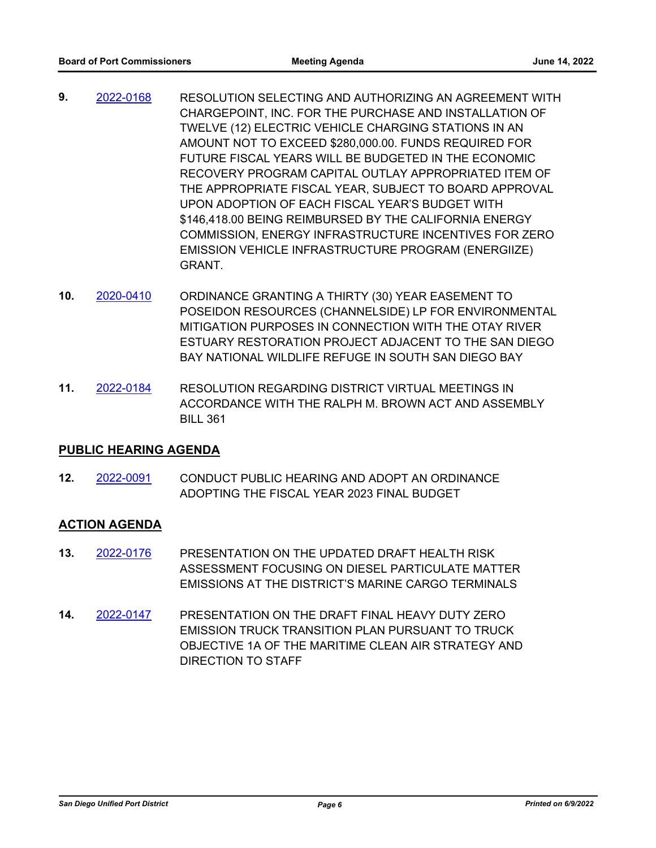- RESOLUTION SELECTING AND AUTHORIZING AN AGREEMENT WITH CHARGEPOINT, INC. FOR THE PURCHASE AND INSTALLATION OF TWELVE (12) ELECTRIC VEHICLE CHARGING STATIONS IN AN AMOUNT NOT TO EXCEED \$280,000.00. FUNDS REQUIRED FOR FUTURE FISCAL YEARS WILL BE BUDGETED IN THE ECONOMIC RECOVERY PROGRAM CAPITAL OUTLAY APPROPRIATED ITEM OF THE APPROPRIATE FISCAL YEAR, SUBJECT TO BOARD APPROVAL UPON ADOPTION OF EACH FISCAL YEAR'S BUDGET WITH \$146,418.00 BEING REIMBURSED BY THE CALIFORNIA ENERGY COMMISSION, ENERGY INFRASTRUCTURE INCENTIVES FOR ZERO EMISSION VEHICLE INFRASTRUCTURE PROGRAM (ENERGIIZE) GRANT. **9.** [2022-0168](http://portofsandiego.legistar.com/gateway.aspx?m=l&id=/matter.aspx?key=6312)
- ORDINANCE GRANTING A THIRTY (30) YEAR EASEMENT TO POSEIDON RESOURCES (CHANNELSIDE) LP FOR ENVIRONMENTAL MITIGATION PURPOSES IN CONNECTION WITH THE OTAY RIVER ESTUARY RESTORATION PROJECT ADJACENT TO THE SAN DIEGO BAY NATIONAL WILDLIFE REFUGE IN SOUTH SAN DIEGO BAY **10.** [2020-0410](http://portofsandiego.legistar.com/gateway.aspx?m=l&id=/matter.aspx?key=5652)
- RESOLUTION REGARDING DISTRICT VIRTUAL MEETINGS IN ACCORDANCE WITH THE RALPH M. BROWN ACT AND ASSEMBLY BILL 361 **11.** [2022-0184](http://portofsandiego.legistar.com/gateway.aspx?m=l&id=/matter.aspx?key=6328)

# **PUBLIC HEARING AGENDA**

CONDUCT PUBLIC HEARING AND ADOPT AN ORDINANCE ADOPTING THE FISCAL YEAR 2023 FINAL BUDGET **12.** [2022-0091](http://portofsandiego.legistar.com/gateway.aspx?m=l&id=/matter.aspx?key=6235)

# **ACTION AGENDA**

- PRESENTATION ON THE UPDATED DRAFT HEALTH RISK ASSESSMENT FOCUSING ON DIESEL PARTICULATE MATTER EMISSIONS AT THE DISTRICT'S MARINE CARGO TERMINALS **13.** [2022-0176](http://portofsandiego.legistar.com/gateway.aspx?m=l&id=/matter.aspx?key=6320)
- PRESENTATION ON THE DRAFT FINAL HEAVY DUTY ZERO EMISSION TRUCK TRANSITION PLAN PURSUANT TO TRUCK OBJECTIVE 1A OF THE MARITIME CLEAN AIR STRATEGY AND DIRECTION TO STAFF **14.** [2022-0147](http://portofsandiego.legistar.com/gateway.aspx?m=l&id=/matter.aspx?key=6291)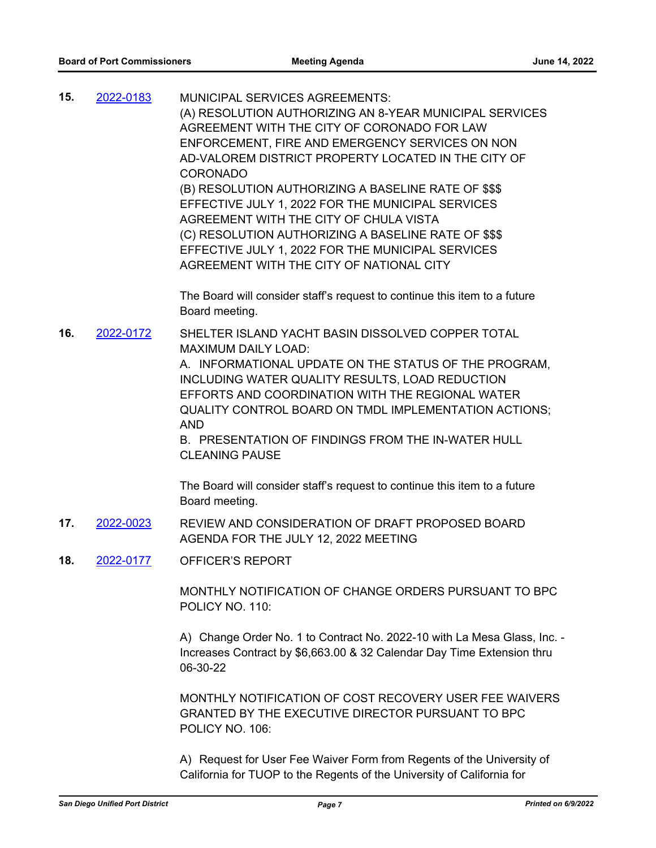| 15. | 2022-0183 | <b>MUNICIPAL SERVICES AGREEMENTS:</b><br>(A) RESOLUTION AUTHORIZING AN 8-YEAR MUNICIPAL SERVICES<br>AGREEMENT WITH THE CITY OF CORONADO FOR LAW<br>ENFORCEMENT, FIRE AND EMERGENCY SERVICES ON NON<br>AD-VALOREM DISTRICT PROPERTY LOCATED IN THE CITY OF<br><b>CORONADO</b><br>(B) RESOLUTION AUTHORIZING A BASELINE RATE OF \$\$\$<br>EFFECTIVE JULY 1, 2022 FOR THE MUNICIPAL SERVICES<br>AGREEMENT WITH THE CITY OF CHULA VISTA<br>(C) RESOLUTION AUTHORIZING A BASELINE RATE OF \$\$\$<br>EFFECTIVE JULY 1, 2022 FOR THE MUNICIPAL SERVICES |
|-----|-----------|--------------------------------------------------------------------------------------------------------------------------------------------------------------------------------------------------------------------------------------------------------------------------------------------------------------------------------------------------------------------------------------------------------------------------------------------------------------------------------------------------------------------------------------------------|
|     |           | AGREEMENT WITH THE CITY OF NATIONAL CITY<br>The Board will consider staff's request to continue this item to a future<br>Board meeting.                                                                                                                                                                                                                                                                                                                                                                                                          |
| 16. | 2022-0172 | SHELTER ISLAND YACHT BASIN DISSOLVED COPPER TOTAL<br><b>MAXIMUM DAILY LOAD:</b><br>A. INFORMATIONAL UPDATE ON THE STATUS OF THE PROGRAM,<br>INCLUDING WATER QUALITY RESULTS, LOAD REDUCTION<br>EFFORTS AND COORDINATION WITH THE REGIONAL WATER<br>QUALITY CONTROL BOARD ON TMDL IMPLEMENTATION ACTIONS;<br><b>AND</b><br>B. PRESENTATION OF FINDINGS FROM THE IN-WATER HULL<br><b>CLEANING PAUSE</b>                                                                                                                                            |
|     |           | The Board will consider staff's request to continue this item to a future<br>Board meeting.                                                                                                                                                                                                                                                                                                                                                                                                                                                      |
| 17. | 2022-0023 | REVIEW AND CONSIDERATION OF DRAFT PROPOSED BOARD<br>AGENDA FOR THE JULY 12, 2022 MEETING                                                                                                                                                                                                                                                                                                                                                                                                                                                         |
| 18. | 2022-0177 | <b>OFFICER'S REPORT</b>                                                                                                                                                                                                                                                                                                                                                                                                                                                                                                                          |
|     |           | MONTHLY NOTIFICATION OF CHANGE ORDERS PURSUANT TO BPC<br>POLICY NO. 110:                                                                                                                                                                                                                                                                                                                                                                                                                                                                         |
|     |           | A) Change Order No. 1 to Contract No. 2022-10 with La Mesa Glass, Inc. -<br>Increases Contract by \$6,663.00 & 32 Calendar Day Time Extension thru<br>06-30-22                                                                                                                                                                                                                                                                                                                                                                                   |
|     |           | MANTHI V NATIFIA (TIAN AF AART BEAAVERY HAER FEE MIAIVERS                                                                                                                                                                                                                                                                                                                                                                                                                                                                                        |

MONTHLY NOTIFICATION OF COST RECOVERY USER FEE WAIVERS GRANTED BY THE EXECUTIVE DIRECTOR PURSUANT TO BPC POLICY NO. 106:

A) Request for User Fee Waiver Form from Regents of the University of California for TUOP to the Regents of the University of California for